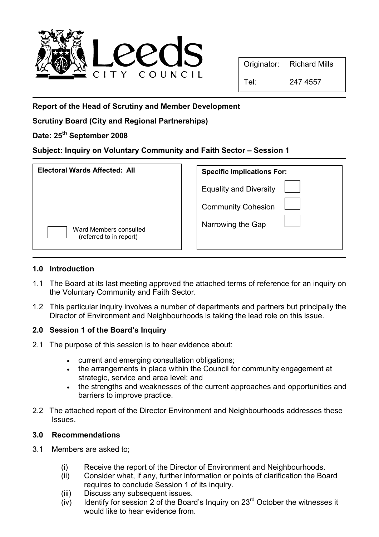

Report of the Head of Scrutiny and Member Development

Scrutiny Board (City and Regional Partnerships)

# Date: 25<sup>th</sup> September 2008

## Subject: Inquiry on Voluntary Community and Faith Sector – Session 1

| Electoral Wards Affected: All                     | <b>Specific Implications For:</b> |
|---------------------------------------------------|-----------------------------------|
|                                                   | <b>Equality and Diversity</b>     |
|                                                   | <b>Community Cohesion</b>         |
| Ward Members consulted<br>(referred to in report) | Narrowing the Gap                 |

#### 1.0 Introduction

- 1.1 The Board at its last meeting approved the attached terms of reference for an inquiry on the Voluntary Community and Faith Sector.
- 1.2 This particular inquiry involves a number of departments and partners but principally the Director of Environment and Neighbourhoods is taking the lead role on this issue.

#### 2.0 Session 1 of the Board's Inquiry

- 2.1 The purpose of this session is to hear evidence about:
	- current and emerging consultation obligations;
	- the arrangements in place within the Council for community engagement at strategic, service and area level; and
	- the strengths and weaknesses of the current approaches and opportunities and barriers to improve practice.
- 2.2 The attached report of the Director Environment and Neighbourhoods addresses these **Issues**

#### 3.0 Recommendations

- 3.1 Members are asked to;
	- (i) Receive the report of the Director of Environment and Neighbourhoods.
	- (ii) Consider what, if any, further information or points of clarification the Board requires to conclude Session 1 of its inquiry.
	- (iii) Discuss any subsequent issues.
	- $(iv)$  Identify for session 2 of the Board's Inquiry on 23<sup>rd</sup> October the witnesses it would like to hear evidence from.